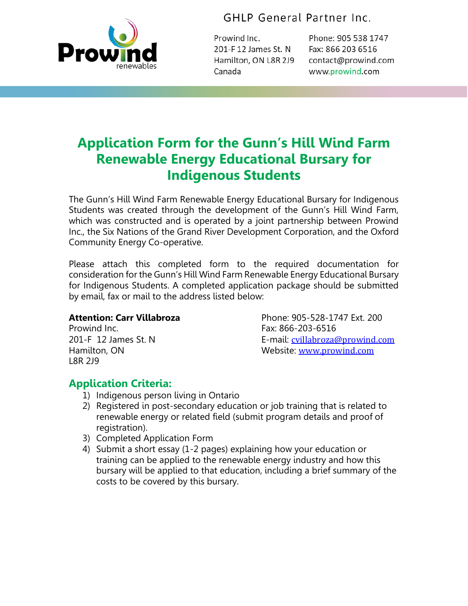

GHLP General Partner Inc.

Prowind Inc. 201-F 12 James St. N Hamilton, ON L8R 2J9 Canada

Phone: 905 538 1747 Fax: 866 203 6516 contact@prowind.com www.prowind.com

# **Application Form for the Gunn's Hill Wind Farm Renewable Energy Educational Bursary for Indigenous Students**

The Gunn's Hill Wind Farm Renewable Energy Educational Bursary for Indigenous Students was created through the development of the Gunn's Hill Wind Farm, which was constructed and is operated by a joint partnership between Prowind Inc., the Six Nations of the Grand River Development Corporation, and the Oxford Community Energy Co-operative.

Please attach this completed form to the required documentation for consideration for the Gunn's Hill Wind Farm Renewable Energy Educational Bursary for Indigenous Students. A completed application package should be submitted by email, fax or mail to the address listed below:

Prowind Inc. 2008 - 2012 12:38:00 Prowind Inc. L8R 2J9

**Attention: Carr Villabroza** Phone: 905-528-1747 Ext. 200 201-F 12 James St. N E-mail: [cvillabroza@prowind.com](mailto:cvillabroza@prowind.com) Hamilton, ON Website: [www.prowind.com](http://www.prowind.com/)

## **Application Criteria:**

- 1) Indigenous person living in Ontario
- 2) Registered in post-secondary education or job training that is related to renewable energy or related field (submit program details and proof of registration).
- 3) Completed Application Form
- 4) Submit a short essay (1-2 pages) explaining how your education or training can be applied to the renewable energy industry and how this bursary will be applied to that education, including a brief summary of the costs to be covered by this bursary.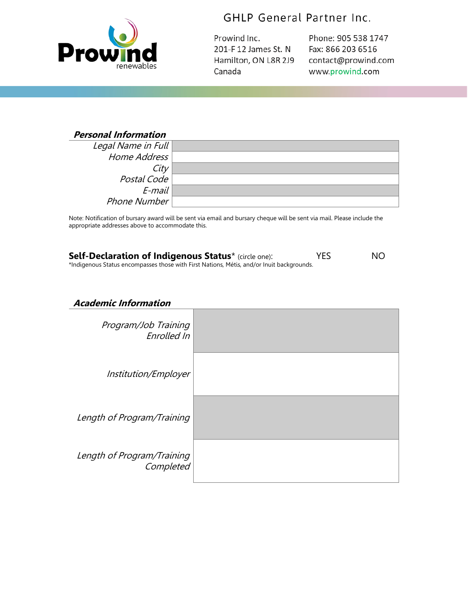

## GHLP General Partner Inc.

Prowind Inc. 201-F 12 James St. N Hamilton, ON L8R 2J9 Canada

Phone: 905 538 1747 Fax: 866 203 6516 contact@prowind.com www.prowind.com

#### **Personal Information**

| Legal Name in Full |  |
|--------------------|--|
| Home Address       |  |
| City               |  |
| Postal Code        |  |
| E-mail             |  |
| Phone Number       |  |

Note: Notification of bursary award will be sent via email and bursary cheque will be sent via mail. Please include the appropriate addresses above to accommodate this.

| <b>Self-Declaration of Indigenous Status</b> * (circle one):                              | <b>YES</b> | NO. |
|-------------------------------------------------------------------------------------------|------------|-----|
| *Indigenous Status encompasses those with First Nations, Métis, and/or Inuit backgrounds. |            |     |

### **Academic Information**

| Program/Job Training<br>Enrolled In     |  |
|-----------------------------------------|--|
| Institution/Employer                    |  |
| Length of Program/Training              |  |
| Length of Program/Training<br>Completed |  |